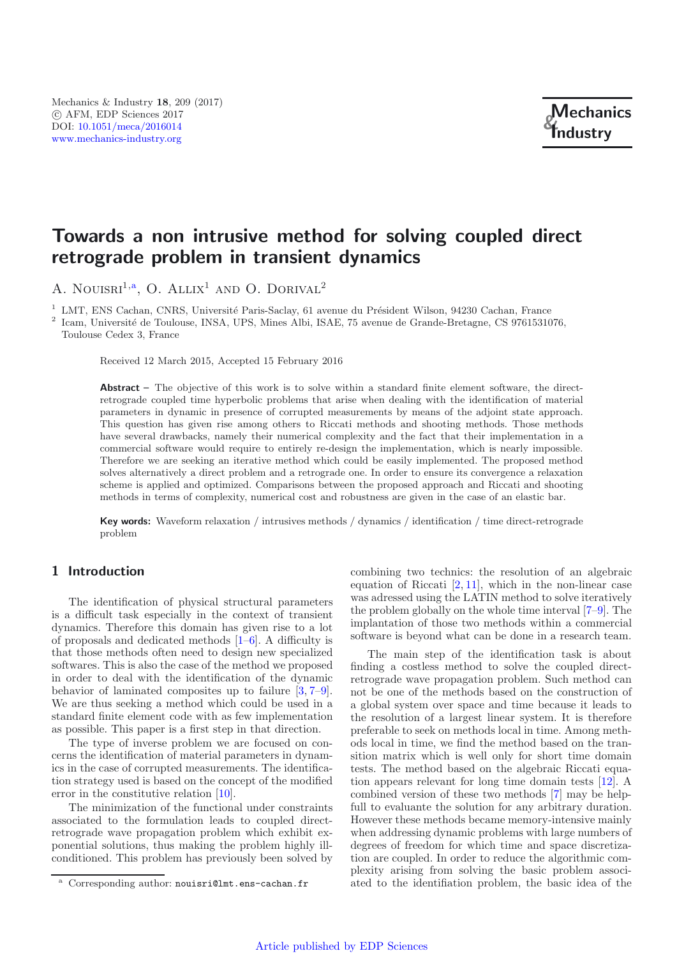# **Towards a non intrusive method for solving coupled direct retrograde problem in transient dynamics**

A. NOUISRI<sup>1,a</sup>, O. ALLIX<sup>1</sup> AND O. DORIVAL<sup>2</sup>

 $1$  LMT, ENS Cachan, CNRS, Université Paris-Saclay, 61 avenue du Président Wilson, 94230 Cachan, France

 $^2$ Icam, Université de Toulouse, INSA, UPS, Mines Albi, ISAE, 75 avenue de Grande-Bretagne, CS 9761531076, Toulouse Cedex 3, France

Received 12 March 2015, Accepted 15 February 2016

**Abstract –** The objective of this work is to solve within a standard finite element software, the directretrograde coupled time hyperbolic problems that arise when dealing with the identification of material parameters in dynamic in presence of corrupted measurements by means of the adjoint state approach. This question has given rise among others to Riccati methods and shooting methods. Those methods have several drawbacks, namely their numerical complexity and the fact that their implementation in a commercial software would require to entirely re-design the implementation, which is nearly impossible. Therefore we are seeking an iterative method which could be easily implemented. The proposed method solves alternatively a direct problem and a retrograde one. In order to ensure its convergence a relaxation scheme is applied and optimized. Comparisons between the proposed approach and Riccati and shooting methods in terms of complexity, numerical cost and robustness are given in the case of an elastic bar.

**Key words:** Waveform relaxation / intrusives methods / dynamics / identification / time direct-retrograde problem

## **1 Introduction**

The identification of physical structural parameters is a difficult task especially in the context of transient dynamics. Therefore this domain has given rise to a lot of proposals and dedicated methods [\[1](#page-7-0)[–6](#page-7-1)]. A difficulty is that those methods often need to design new specialized softwares. This is also the case of the method we proposed in order to deal with the identification of the dynamic behavior of laminated composites up to failure [\[3](#page-7-2), [7](#page-7-3)[–9](#page-7-4)]. We are thus seeking a method which could be used in a standard finite element code with as few implementation as possible. This paper is a first step in that direction.

The type of inverse problem we are focused on concerns the identification of material parameters in dynamics in the case of corrupted measurements. The identification strategy used is based on the concept of the modified error in the constitutive relation [\[10](#page-7-5)].

The minimization of the functional under constraints associated to the formulation leads to coupled directretrograde wave propagation problem which exhibit exponential solutions, thus making the problem highly illconditioned. This problem has previously been solved by combining two technics: the resolution of an algebraic equation of Riccati [\[2,](#page-7-6) [11\]](#page-7-7), which in the non-linear case was adressed using the LATIN method to solve iteratively the problem globally on the whole time interval [\[7](#page-7-3)[–9\]](#page-7-4). The implantation of those two methods within a commercial software is beyond what can be done in a research team.

The main step of the identification task is about finding a costless method to solve the coupled directretrograde wave propagation problem. Such method can not be one of the methods based on the construction of a global system over space and time because it leads to the resolution of a largest linear system. It is therefore preferable to seek on methods local in time. Among methods local in time, we find the method based on the transition matrix which is well only for short time domain tests. The method based on the algebraic Riccati equation appears relevant for long time domain tests [\[12\]](#page-7-8). A combined version of these two methods [\[7\]](#page-7-3) may be helpfull to evaluante the solution for any arbitrary duration. However these methods became memory-intensive mainly when addressing dynamic problems with large numbers of degrees of freedom for which time and space discretization are coupled. In order to reduce the algorithmic complexity arising from solving the basic problem associated to the identifiation problem, the basic idea of the

<sup>a</sup> Corresponding author: nouisri@lmt.ens-cachan.fr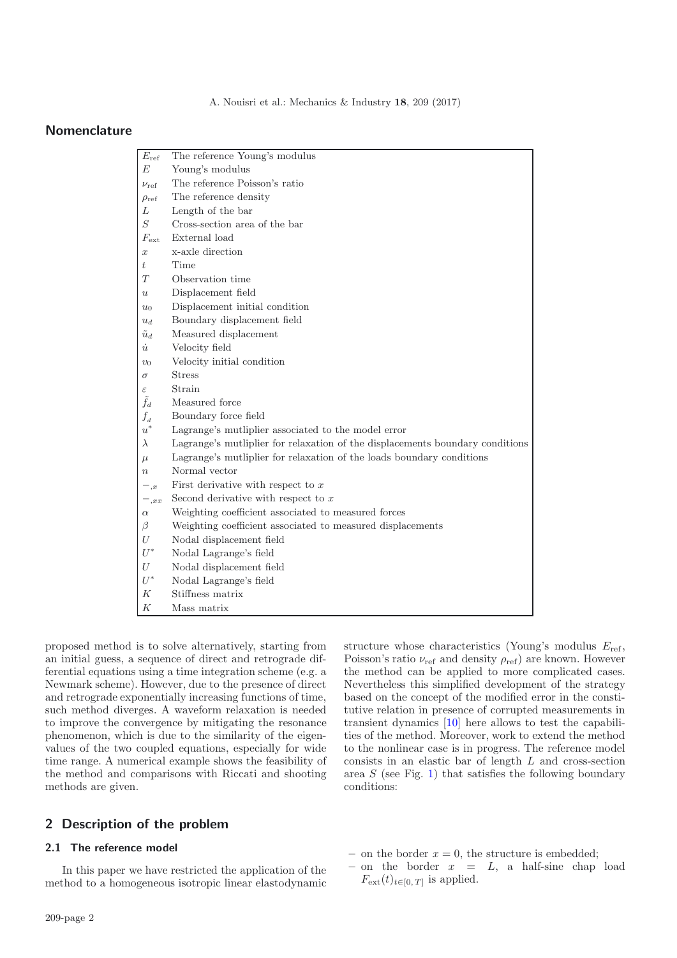A. Nouisri et al.: Mechanics & Industry **18**, 209 (2017)

## **Nomenclature**

| $E_{\rm ref}$        | The reference Young's modulus                                                 |  |  |  |  |
|----------------------|-------------------------------------------------------------------------------|--|--|--|--|
| E                    | Young's modulus                                                               |  |  |  |  |
| $\nu_{\mathrm{ref}}$ | The reference Poisson's ratio                                                 |  |  |  |  |
| $\rho_{ref}$         | The reference density                                                         |  |  |  |  |
| L                    | Length of the bar                                                             |  |  |  |  |
| S                    | Cross-section area of the bar                                                 |  |  |  |  |
| $F_{\rm ext}$        | External load                                                                 |  |  |  |  |
| $\boldsymbol{x}$     | x-axle direction                                                              |  |  |  |  |
| ŧ                    | Time                                                                          |  |  |  |  |
| T                    | Observation time                                                              |  |  |  |  |
| $\boldsymbol{u}$     | Displacement field                                                            |  |  |  |  |
| $u_0$                | Displacement initial condition                                                |  |  |  |  |
| $u_d$                | Boundary displacement field                                                   |  |  |  |  |
| $\tilde{u}_d$        | Measured displacement                                                         |  |  |  |  |
| $\dot{u}$            | Velocity field                                                                |  |  |  |  |
| $v_0$                | Velocity initial condition                                                    |  |  |  |  |
| $\sigma$             | <b>Stress</b>                                                                 |  |  |  |  |
| $\varepsilon$        | Strain                                                                        |  |  |  |  |
| $\tilde{f}_d$        | Measured force                                                                |  |  |  |  |
| $f_d$                | Boundary force field                                                          |  |  |  |  |
| $\boldsymbol{u}^*$   | Lagrange's mutliplier associated to the model error                           |  |  |  |  |
| $\lambda$            | Lagrange's mutliplier for relaxation of the displacements boundary conditions |  |  |  |  |
| $\mu$                | Lagrange's mutliplier for relaxation of the loads boundary conditions         |  |  |  |  |
| $\boldsymbol{n}$     | Normal vector                                                                 |  |  |  |  |
| $-,x$                | First derivative with respect to $x$                                          |  |  |  |  |
| $^{-}$ ,xx           | Second derivative with respect to $x$                                         |  |  |  |  |
| $\alpha$             | Weighting coefficient associated to measured forces                           |  |  |  |  |
| $\beta$              | Weighting coefficient associated to measured displacements                    |  |  |  |  |
| U                    | Nodal displacement field                                                      |  |  |  |  |
| $U^*$                | Nodal Lagrange's field                                                        |  |  |  |  |
| U                    | Nodal displacement field                                                      |  |  |  |  |
| $U^*$                | Nodal Lagrange's field                                                        |  |  |  |  |
| K                    | Stiffness matrix                                                              |  |  |  |  |
| Κ                    | Mass matrix                                                                   |  |  |  |  |

proposed method is to solve alternatively, starting from an initial guess, a sequence of direct and retrograde differential equations using a time integration scheme (e.g. a Newmark scheme). However, due to the presence of direct and retrograde exponentially increasing functions of time, such method diverges. A waveform relaxation is needed to improve the convergence by mitigating the resonance phenomenon, which is due to the similarity of the eigenvalues of the two coupled equations, especially for wide time range. A numerical example shows the feasibility of the method and comparisons with Riccati and shooting methods are given.

# **2 Description of the problem**

## **2.1 The reference model**

In this paper we have restricted the application of the method to a homogeneous isotropic linear elastodynamic structure whose characteristics (Young's modulus  $E_{\text{ref}}$ , Poisson's ratio  $\nu_{ref}$  and density  $\rho_{ref}$  are known. However the method can be applied to more complicated cases. Nevertheless this simplified development of the strategy based on the concept of the modified error in the constitutive relation in presence of corrupted measurements in transient dynamics [\[10\]](#page-7-5) here allows to test the capabilities of the method. Moreover, work to extend the method to the nonlinear case is in progress. The reference model consists in an elastic bar of length L and cross-section area  $S$  (see Fig. [1\)](#page-2-0) that satisfies the following boundary conditions:

- on the border  $x = 0$ , the structure is embedded;
- $-$  on the border  $x = L$ , a half-sine chap load  $F_{\text{ext}}(t)_{t\in[0, T]}$  is applied.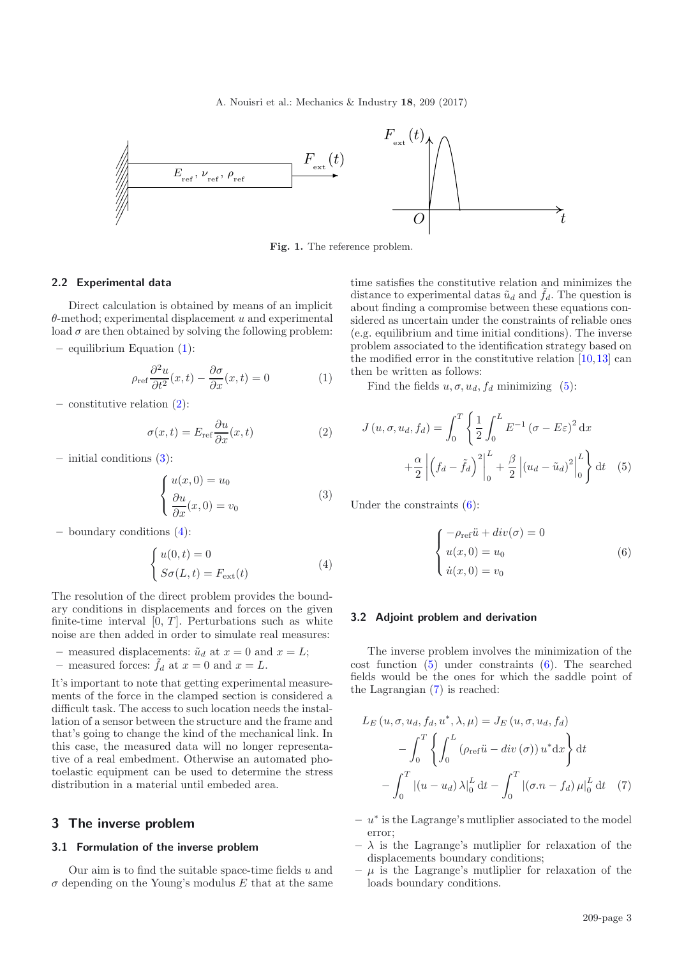<span id="page-2-0"></span>A. Nouisri et al.: Mechanics & Industry **18**, 209 (2017)

<span id="page-2-1"></span>

**Fig. 1.** The reference problem.

### <span id="page-2-3"></span><span id="page-2-2"></span>**2.2 Experimental data**

Direct calculation is obtained by means of an implicit  $\theta$ -method; experimental displacement u and experimental load  $\sigma$  are then obtained by solving the following problem:

**–** equilibrium Equation [\(1\)](#page-2-1):

<span id="page-2-4"></span>
$$
\rho_{\text{ref}} \frac{\partial^2 u}{\partial t^2}(x, t) - \frac{\partial \sigma}{\partial x}(x, t) = 0 \tag{1}
$$

**–** constitutive relation [\(2\)](#page-2-2):

$$
\sigma(x,t) = E_{\text{ref}} \frac{\partial u}{\partial x}(x,t) \tag{2}
$$

**–** initial conditions [\(3\)](#page-2-3):

$$
\begin{cases}\n u(x,0) = u_0 \\
 \frac{\partial u}{\partial x}(x,0) = v_0\n\end{cases}
$$
\n(3)

**–** boundary conditions [\(4\)](#page-2-4):

$$
\begin{cases} u(0,t) = 0\\ S\sigma(L,t) = F_{\text{ext}}(t) \end{cases} \tag{4}
$$

The resolution of the direct problem provides the boundary conditions in displacements and forces on the given finite-time interval  $[0, T]$ . Perturbations such as white noise are then added in order to simulate real measures:

- measured displacements:  $\tilde{u}_d$  at  $x = 0$  and  $x = L$ ;
- measured forces:  $\tilde{f}_d$  at  $x = 0$  and  $x = L$ .

It's important to note that getting experimental measurements of the force in the clamped section is considered a difficult task. The access to such location needs the installation of a sensor between the structure and the frame and that's going to change the kind of the mechanical link. In this case, the measured data will no longer representative of a real embedment. Otherwise an automated photoelastic equipment can be used to determine the stress distribution in a material until embeded area.

#### **3 The inverse problem**

#### **3.1 Formulation of the inverse problem**

Our aim is to find the suitable space-time fields  $u$  and  $\sigma$  depending on the Young's modulus E that at the same <span id="page-2-5"></span>time satisfies the constitutive relation and minimizes the distance to experimental datas  $\tilde{u}_d$  and  $\tilde{f}_d$ . The question is about finding a compromise between these equations considered as uncertain under the constraints of reliable ones (e.g. equilibrium and time initial conditions). The inverse problem associated to the identification strategy based on the modified error in the constitutive relation [\[10](#page-7-5),[13\]](#page-7-9) can then be written as follows:

<span id="page-2-6"></span>Find the fields  $u, \sigma, u_d, f_d$  minimizing [\(5\)](#page-2-5):

$$
J(u, \sigma, u_d, f_d) = \int_0^T \left\{ \frac{1}{2} \int_0^L E^{-1} (\sigma - E \varepsilon)^2 dx + \frac{\alpha}{2} \left| \left( f_d - \tilde{f}_d \right)^2 \right|_0^L + \frac{\beta}{2} \left| (u_d - \tilde{u}_d)^2 \right|_0^L \right\} dt \quad (5)
$$

Under the constraints  $(6)$ :

<span id="page-2-7"></span>
$$
\begin{cases}\n-\rho_{ref}\ddot{u} + div(\sigma) = 0\\ \nu(x, 0) = u_0\\ \dot{u}(x, 0) = v_0\n\end{cases}
$$
\n(6)

### **3.2 Adjoint problem and derivation**

The inverse problem involves the minimization of the cost function [\(5\)](#page-2-5) under constraints [\(6\)](#page-2-6). The searched fields would be the ones for which the saddle point of the Lagrangian [\(7\)](#page-2-7) is reached:

$$
L_E(u, \sigma, u_d, f_d, u^*, \lambda, \mu) = J_E(u, \sigma, u_d, f_d)
$$

$$
- \int_0^T \left\{ \int_0^L (\rho_{\text{ref}} \ddot{u} - div(\sigma)) u^* dx \right\} dt
$$

$$
- \int_0^T |(u - u_d) \lambda|_0^L dt - \int_0^T |(\sigma \cdot n - f_d) \mu|_0^L dt \quad (7)
$$

- **–** u<sup>∗</sup> is the Lagrange's mutliplier associated to the model error;
- $\lambda$  is the Lagrange's mutliplier for relaxation of the displacements boundary conditions;
- $-\mu$  is the Lagrange's mutliplier for relaxation of the loads boundary conditions.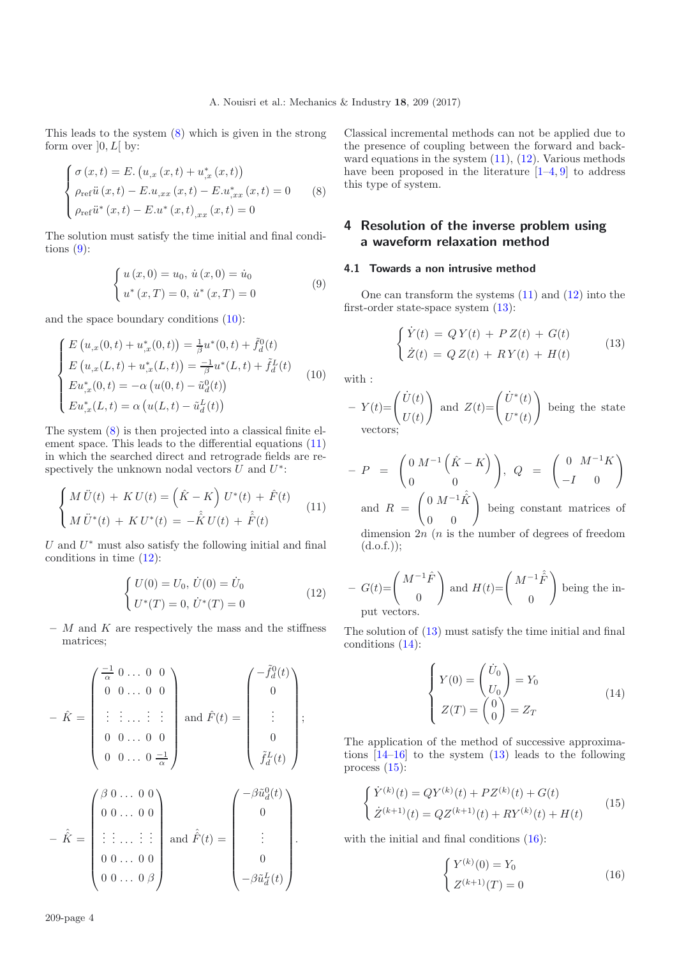<span id="page-3-1"></span><span id="page-3-0"></span>This leads to the system [\(8\)](#page-3-0) which is given in the strong form over  $[0, L[$  by:

<span id="page-3-2"></span>
$$
\begin{cases}\n\sigma(x,t) = E. (u_{,x}(x,t) + u_{,x}^*(x,t)) \\
\rho_{ref} \ddot{u}(x,t) - E.u_{,xx}(x,t) - E.u_{,xx}^*(x,t) = 0 \\
\rho_{ref} \ddot{u}^*(x,t) - E.u^*(x,t)_{,xx}(x,t) = 0\n\end{cases}
$$
\n(8)

The solution must satisfy the time initial and final conditions  $(9)$ :

<span id="page-3-3"></span>
$$
\begin{cases} u(x,0) = u_0, \, \dot{u}(x,0) = \dot{u}_0 \\ u^*(x,T) = 0, \, \dot{u}^*(x,T) = 0 \end{cases} \tag{9}
$$

and the space boundary conditions [\(10\)](#page-3-2):

<span id="page-3-4"></span>
$$
\begin{cases}\nE(u_{,x}(0,t) + u_{,x}^*(0,t)) = \frac{1}{\beta} u^*(0,t) + \tilde{f}_d^0(t) \\
E(u_{,x}(L,t) + u_{,x}^*(L,t)) = \frac{-1}{\beta} u^*(L,t) + \tilde{f}_d^L(t) \\
Eu_{,x}^*(0,t) = -\alpha (u(0,t) - \tilde{u}_d^0(t)) \\
Eu_{,x}^*(L,t) = \alpha (u(L,t) - \tilde{u}_d^L(t))\n\end{cases}
$$
\n(10)

The system [\(8\)](#page-3-0) is then projected into a classical finite element space. This leads to the differential equations [\(11\)](#page-3-3) in which the searched direct and retrograde fields are respectively the unknown nodal vectors  $\bar{U}$  and  $U^*$ :

$$
\begin{cases}\nM \ddot{U}(t) + K U(t) = (\hat{K} - K) U^*(t) + \hat{F}(t) \\
M \ddot{U}^*(t) + K U^*(t) = -\hat{K} U(t) + \hat{F}(t)\n\end{cases}
$$
\n(11)

U and  $U^*$  must also satisfy the following initial and final conditions in time [\(12\)](#page-3-4):

$$
\begin{cases}\nU(0) = U_0, \dot{U}(0) = \dot{U}_0 \\
U^*(T) = 0, \dot{U}^*(T) = 0\n\end{cases}
$$
\n(12)

**–** M and K are respectively the mass and the stiffness matrices;

$$
-\hat{K} = \begin{pmatrix} \frac{-1}{\alpha} & 0 & \dots & 0 & 0 \\ 0 & 0 & \dots & 0 & 0 \\ \vdots & \vdots & \dots & \vdots & \vdots \\ 0 & 0 & \dots & 0 & 0 \\ 0 & 0 & \dots & 0 & \frac{-1}{\alpha} \end{pmatrix} \text{ and } \hat{F}(t) = \begin{pmatrix} -\tilde{f}_d^0(t) \\ 0 \\ \vdots \\ 0 \\ \tilde{f}_d^L(t) \end{pmatrix};
$$

$$
-\hat{K} = \begin{pmatrix} \beta & 0 & \dots & 0 & 0 \\ 0 & 0 & \dots & 0 & 0 \\ \vdots & \vdots & \dots & \vdots & \vdots \\ 0 & 0 & \dots & 0 & 0 \\ 0 & 0 & \dots & 0 & \beta \end{pmatrix} \text{ and } \hat{\hat{F}}(t) = \begin{pmatrix} -\beta \tilde{u}_d^0(t) \\ 0 \\ \vdots \\ 0 \\ -\beta \tilde{u}_d^L(t) \end{pmatrix}.
$$

<span id="page-3-5"></span>Classical incremental methods can not be applied due to the presence of coupling between the forward and backward equations in the system  $(11)$ ,  $(12)$ . Various methods have been proposed in the literature  $[1-4, 9]$  $[1-4, 9]$  $[1-4, 9]$  to address this type of system.

# **4 Resolution of the inverse problem using a waveform relaxation method**

## **4.1 Towards a non intrusive method**

One can transform the systems [\(11\)](#page-3-3) and [\(12\)](#page-3-4) into the first-order state-space system [\(13\)](#page-3-5):

$$
\begin{cases}\n\dot{Y}(t) = QY(t) + PZ(t) + G(t) \\
\dot{Z}(t) = QZ(t) + RY(t) + H(t)\n\end{cases}
$$
\n(13)

with :

- 
$$
Y(t) = \begin{pmatrix} \dot{U}(t) \\ U(t) \end{pmatrix}
$$
 and  $Z(t) = \begin{pmatrix} \dot{U}^*(t) \\ U^*(t) \end{pmatrix}$  being the state vectors;

<span id="page-3-6"></span>
$$
- P = \begin{pmatrix} 0 & M^{-1} (\hat{K} - K) \\ 0 & 0 \end{pmatrix}, Q = \begin{pmatrix} 0 & M^{-1}K \\ -I & 0 \end{pmatrix}
$$

and  $R =$  $\begin{pmatrix} 0 & M^{-1}\hat{K} \ 0 & 0 \end{pmatrix}$ being constant matrices of dimension  $2n$  (*n* is the number of degrees of freedom  $(d.o.f.$ );

<span id="page-3-7"></span>- 
$$
G(t)=\begin{pmatrix} M^{-1}\hat{F} \\ 0 \end{pmatrix}
$$
 and  $H(t)=\begin{pmatrix} M^{-1}\hat{F} \\ 0 \end{pmatrix}$  being the in-  
put vectors.

The solution of [\(13\)](#page-3-5) must satisfy the time initial and final conditions [\(14\)](#page-3-6):

<span id="page-3-8"></span>
$$
\begin{cases}\nY(0) = \begin{pmatrix} \dot{U}_0 \\ U_0 \end{pmatrix} = Y_0 \\
Z(T) = \begin{pmatrix} 0 \\ 0 \end{pmatrix} = Z_T\n\end{cases}
$$
\n(14)

The application of the method of successive approximations [\[14](#page-7-11)[–16](#page-7-12)] to the system [\(13\)](#page-3-5) leads to the following process [\(15\)](#page-3-7):

$$
\begin{cases}\n\dot{Y}^{(k)}(t) = QY^{(k)}(t) + PZ^{(k)}(t) + G(t) \\
\dot{Z}^{(k+1)}(t) = QZ^{(k+1)}(t) + RY^{(k)}(t) + H(t)\n\end{cases}
$$
\n(15)

with the initial and final conditions [\(16\)](#page-3-8):

$$
\begin{cases} Y^{(k)}(0) = Y_0 \\ Z^{(k+1)}(T) = 0 \end{cases}
$$
 (16)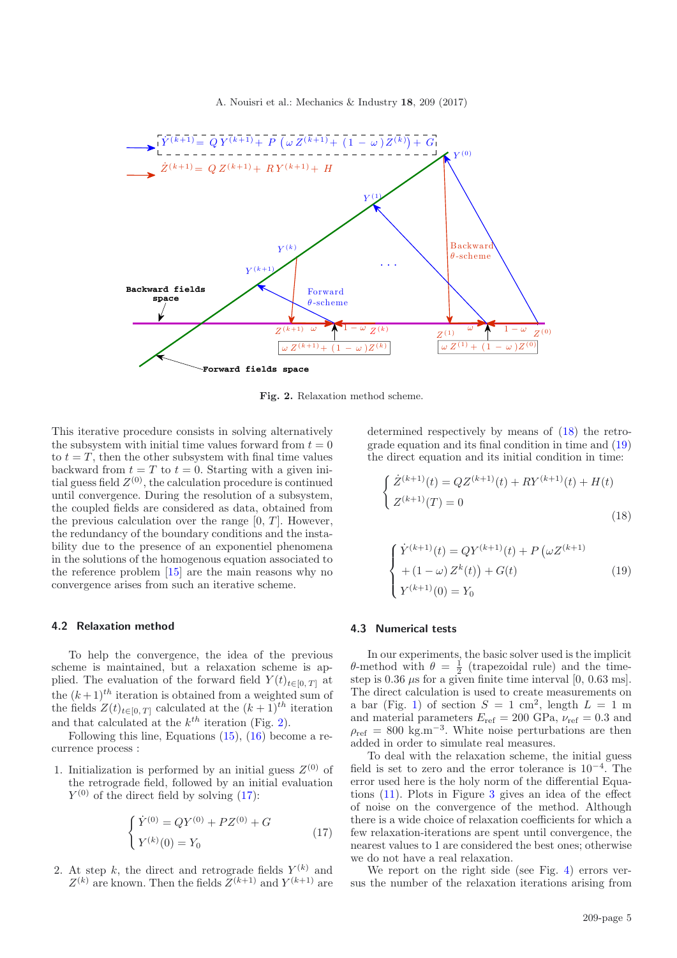<span id="page-4-0"></span>A. Nouisri et al.: Mechanics & Industry **18**, 209 (2017)



<span id="page-4-3"></span>**Fig. 2.** Relaxation method scheme.

This iterative procedure consists in solving alternatively the subsystem with initial time values forward from  $t = 0$ to  $t = T$ , then the other subsystem with final time values backward from  $t = T$  to  $t = 0$ . Starting with a given initial guess field  $Z^{(0)}$ , the calculation procedure is continued until convergence. During the resolution of a subsystem, the coupled fields are considered as data, obtained from the previous calculation over the range  $[0, T]$ . However, the redundancy of the boundary conditions and the instability due to the presence of an exponentiel phenomena in the solutions of the homogenous equation associated to the reference problem [\[15\]](#page-7-13) are the main reasons why no convergence arises from such an iterative scheme.

#### <span id="page-4-1"></span>**4.2 Relaxation method**

To help the convergence, the idea of the previous scheme is maintained, but a relaxation scheme is applied. The evaluation of the forward field  $Y(t)_{t\in[0, T]}$  at the  $(k+1)^{th}$  iteration is obtained from a weighted sum of the fields  $Z(t)_{t\in[0, T]}$  calculated at the  $(k+1)^{th}$  iteration and that calculated at the  $k^{th}$  iteration (Fig. [2\)](#page-4-0).

Following this line, Equations [\(15\)](#page-3-7), [\(16\)](#page-3-8) become a recurrence process :

1. Initialization is performed by an initial guess  $Z^{(0)}$  of the retrograde field, followed by an initial evaluation  $Y^{(0)}$  of the direct field by solving [\(17\)](#page-4-1):

$$
\begin{cases} \dot{Y}^{(0)} = QY^{(0)} + PZ^{(0)} + G \\ Y^{(k)}(0) = Y_0 \end{cases}
$$
\n(17)

2. At step k, the direct and retrograde fields  $Y^{(k)}$  and  $Z^{(k)}$  are known. Then the fields  $Z^{(k+1)}$  and  $Y^{(k+1)}$  are <span id="page-4-2"></span>determined respectively by means of [\(18\)](#page-4-2) the retrograde equation and its final condition in time and [\(19\)](#page-4-3) the direct equation and its initial condition in time:

$$
\begin{cases} \dot{Z}^{(k+1)}(t) = QZ^{(k+1)}(t) + RY^{(k+1)}(t) + H(t) \\ Z^{(k+1)}(T) = 0 \end{cases}
$$
\n(18)

$$
\begin{cases}\n\dot{Y}^{(k+1)}(t) = QY^{(k+1)}(t) + P(\omega Z^{(k+1)}\\
+(1-\omega) Z^k(t)) + G(t) \\
Y^{(k+1)}(0) = Y_0\n\end{cases}
$$
\n(19)

#### **4.3 Numerical tests**

In our experiments, the basic solver used is the implicit θ-method with  $θ = \frac{1}{2}$  (trapezoidal rule) and the timestep is  $0.36 \mu s$  for a given finite time interval  $[0, 0.63 \text{ ms}]$ . The direct calculation is used to create measurements on a bar (Fig. [1\)](#page-2-0) of section  $S = 1$  cm<sup>2</sup>, length  $L = 1$  m and material parameters  $E_{\text{ref}} = 200 \text{ GPa}, \nu_{\text{ref}} = 0.3 \text{ and}$  $\rho_{\text{ref}} = 800 \text{ kg.m}^{-3}$ . White noise perturbations are then added in order to simulate real measures.

To deal with the relaxation scheme, the initial guess field is set to zero and the error tolerance is 10−<sup>4</sup>. The error used here is the holy norm of the differential Equations [\(11\)](#page-3-3). Plots in Figure [3](#page-5-0) gives an idea of the effect of noise on the convergence of the method. Although there is a wide choice of relaxation coefficients for which a few relaxation-iterations are spent until convergence, the nearest values to 1 are considered the best ones; otherwise we do not have a real relaxation.

We report on the right side (see Fig. [4\)](#page-5-1) errors versus the number of the relaxation iterations arising from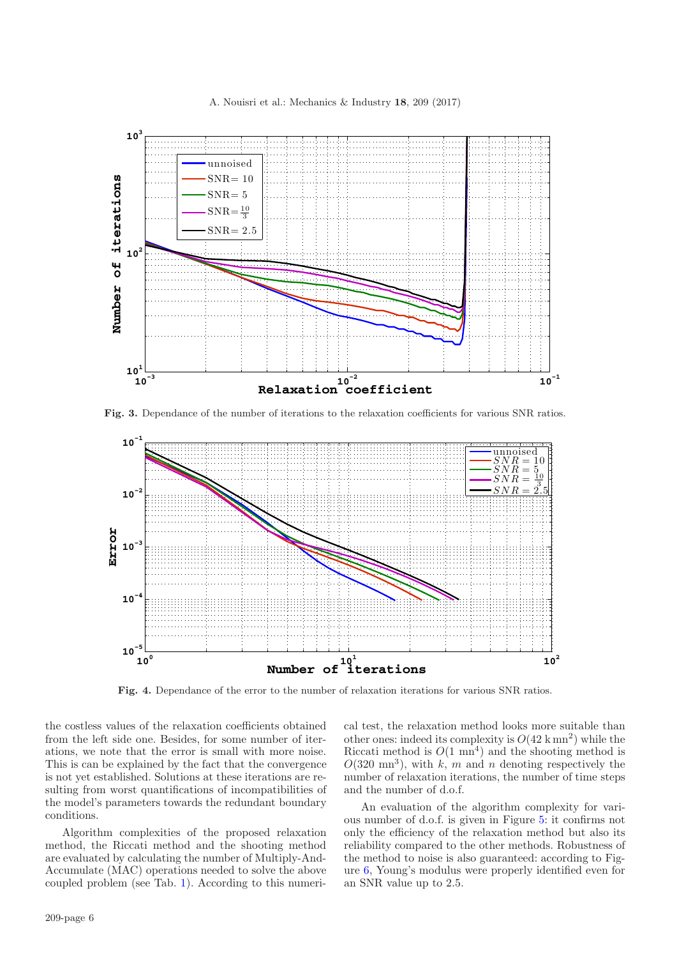A. Nouisri et al.: Mechanics & Industry **18**, 209 (2017)

<span id="page-5-0"></span>

**Fig. 3.** Dependance of the number of iterations to the relaxation coefficients for various SNR ratios.

<span id="page-5-1"></span>

**Fig. 4.** Dependance of the error to the number of relaxation iterations for various SNR ratios.

the costless values of the relaxation coefficients obtained from the left side one. Besides, for some number of iterations, we note that the error is small with more noise. This is can be explained by the fact that the convergence is not yet established. Solutions at these iterations are resulting from worst quantifications of incompatibilities of the model's parameters towards the redundant boundary conditions.

Algorithm complexities of the proposed relaxation method, the Riccati method and the shooting method are evaluated by calculating the number of Multiply-And-Accumulate (MAC) operations needed to solve the above coupled problem (see Tab. [1\)](#page-6-0). According to this numerical test, the relaxation method looks more suitable than other ones: indeed its complexity is  $O(42 \text{ km}^2)$  while the Riccati method is  $O(1 \text{ mm}^4)$  and the shooting method is  $O(320 \text{ mm}^3)$ , with k, m and n denoting respectively the number of relaxation iterations, the number of time steps and the number of d.o.f.

An evaluation of the algorithm complexity for various number of d.o.f. is given in Figure [5:](#page-6-1) it confirms not only the efficiency of the relaxation method but also its reliability compared to the other methods. Robustness of the method to noise is also guaranteed: according to Figure [6,](#page-6-2) Young's modulus were properly identified even for an SNR value up to 2.5.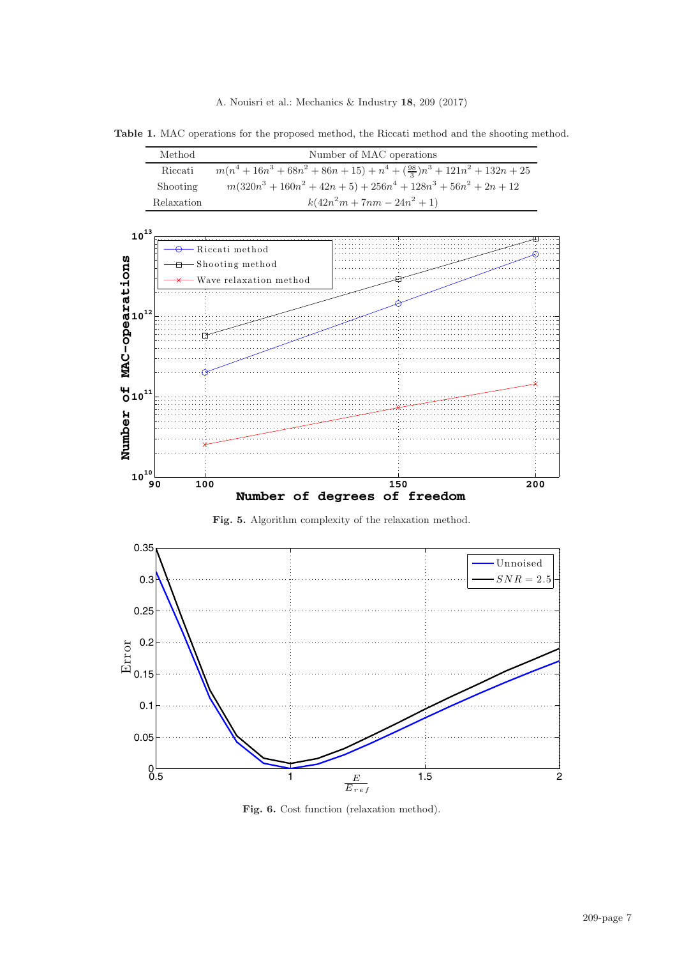A. Nouisri et al.: Mechanics & Industry **18**, 209 (2017)

<span id="page-6-0"></span>**Table 1.** MAC operations for the proposed method, the Riccati method and the shooting method.

|                                                   | Method     |                                                                  | Number of MAC operations |                                                                    |     |  |  |
|---------------------------------------------------|------------|------------------------------------------------------------------|--------------------------|--------------------------------------------------------------------|-----|--|--|
|                                                   | Riccati    | $m(n^4+16n^3+68n^2+86n+15)+n^4+(\frac{98}{3})n^3+121n^2+132n+25$ |                          |                                                                    |     |  |  |
|                                                   | Shooting   |                                                                  |                          | $m(320n^3 + 160n^2 + 42n + 5) + 256n^4 + 128n^3 + 56n^2 + 2n + 12$ |     |  |  |
|                                                   | Relaxation | $k(42n^2m + 7nm - 24n^2 + 1)$                                    |                          |                                                                    |     |  |  |
|                                                   |            |                                                                  |                          |                                                                    |     |  |  |
| $10^{13}$                                         |            |                                                                  |                          |                                                                    |     |  |  |
|                                                   |            | Riccati method                                                   |                          |                                                                    |     |  |  |
| <b>ons</b>                                        |            | <b>a</b> Shooting method                                         |                          |                                                                    |     |  |  |
| ۰,                                                |            | - Wave relaxation method                                         |                          |                                                                    |     |  |  |
| ب                                                 |            |                                                                  |                          |                                                                    |     |  |  |
| <b>at</b><br><b>at</b> 10 <sup>12</sup><br>-<br>- |            |                                                                  |                          |                                                                    |     |  |  |
|                                                   |            |                                                                  |                          |                                                                    |     |  |  |
|                                                   |            |                                                                  |                          |                                                                    |     |  |  |
|                                                   |            |                                                                  |                          |                                                                    |     |  |  |
| <b>MAC</b>                                        |            |                                                                  |                          |                                                                    |     |  |  |
|                                                   |            |                                                                  |                          |                                                                    |     |  |  |
| $010^{11}$                                        |            |                                                                  |                          |                                                                    |     |  |  |
|                                                   |            |                                                                  |                          |                                                                    |     |  |  |
|                                                   |            |                                                                  |                          |                                                                    |     |  |  |
| Number                                            |            |                                                                  |                          |                                                                    |     |  |  |
|                                                   |            |                                                                  |                          |                                                                    |     |  |  |
| ${\bf 10}^{\text{10}}$                            |            |                                                                  |                          |                                                                    |     |  |  |
|                                                   | 100<br>90  |                                                                  |                          | 150                                                                | 200 |  |  |
| Number of degrees of freedom                      |            |                                                                  |                          |                                                                    |     |  |  |

<span id="page-6-2"></span><span id="page-6-1"></span>**Fig. 5.** Algorithm complexity of the relaxation method.



Fig. 6. Cost function (relaxation method).